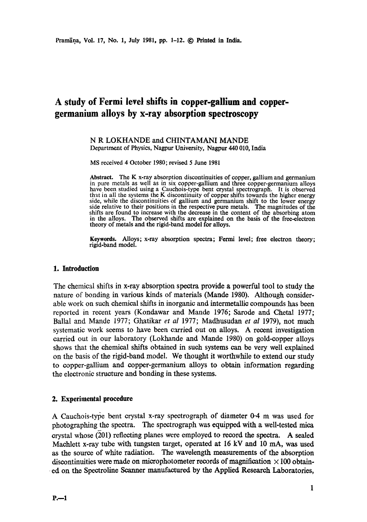# **A study of Fermi level shifts in copper-gallium and coppergermanium alloys by x-ray absorption spectroscopy**

N R LOKHANDE and CHINTAMANI MANDE Department of Physics, Nagpur University, Nagpur 440 010, India

MS received 4 October 1980; revised 5 June 1981

**Abstract.** The K x-ray absorption discontinuities of copper, gallium and germanium in pure metals as well as in six copper-gallium and three copper-germanium alloys have been studied using a Cauchois-type bent crystal spectrograph. It is observed that in all the systems the K discontinuity of copper shifts towards the higher energy side, while the discontinuities of gallium and germanium shift to the lower energy side relative to their positions in the respective pure metals. The magnitudes of the shifts are found to increase with the decrease in the content of the absorbing atom in the alloys. The observed shifts are explained on the basis of the free-electron theory of metals and the rigid-band model for alloys.

**Keywords.** Alloys; x-ray absorption spectra; Fermi level; free electron theory; rigid-band model.

# **1. Introduction**

The chemical shifts in x-ray absorption spectra provide a powerful tool to study the nature of bonding in various kinds of materials (Mande 1980). Although considerable work on such chemical shifts in inorganic and intermetatlic compounds has been reported in recent years (Kondawar and Mande 1976; Sarode and Chetal 1977; Ballal and Mande 1977; Ghatikar *et al* 1977; Madhusudan *et al* 1979), not much systematic work seems to have been carried out on alloys. A recent investigation carried out in our laboratory (Lokhande and Mande 1980) on gold-copper alloys shows that the chemical shifts obtained in such systems can be very well explained on the basis of the rigid-band model. We thought it worthwhile to extend our study to copper-gallium and copper-germanium alloys to obtain information regarding the electronic structure and bonding in these systems.

#### **2. Experimental procedure**

A Cauchois-type bent crystal x-ray spectrograph of diameter 0.4 m was used for photographing the spectra. The spectrograph was equipped with a well-tested mica crystal whose (201) reflecting planes were employed to record the spectra. A sealed Machlett x-ray tube with tungsten target, operated at 16 kV and 10 mA, was used as the source of white radiation. The wavelength measurements of the absorption discontinuities were made on microphotometer records of magnification  $\times$  100 obtain-. ed on the Spectroline Scanner manufactured by the Applied Research Laboratories,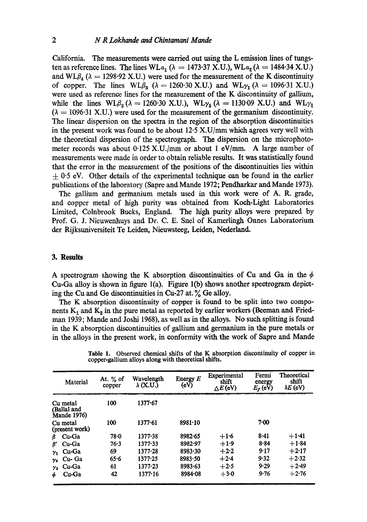California. The measurements were carried out using the L emission lines of tungsten as reference lines. The lines WLa<sub>1</sub> ( $\lambda = 1473.37$  X.U.), WLa<sub>2</sub> ( $\lambda = 1484.34$  X.U.) and WL $\beta_4$  ( $\lambda = 1298.92$  X.U.) were used for the measurement of the K discontinuity of copper. The lines  $WL\beta_3$  ( $\lambda = 1260.30$  X.U.) and  $WL\gamma_1$  ( $\lambda = 1096.31$  X.U.) were used as reference lines for the measurement of the K discontinuity of gallium, while the lines  $WL\beta_3$  ( $\lambda = 1260.30$  X.U.),  $WL\gamma_5$  ( $\lambda = 1130.09$  X.U.) and  $WL\gamma_1$  $(\lambda = 1096.31 \text{ X.U.})$  were used for the measurement of the germanium discontinuity. The linear dispersion on the spectra in the region of the absorption discontinuities in the present work was found to be about  $12.5$  X.U/mm which agrees very well with the theoretical dispersion of the spectrograph. The dispersion on the microphotometer records was about 0.125 X.U./mm or about 1 eV/mm. A large number of measurements were made in order to obtain reliable results. It was statistically found that the error in the measurement of the positions of the discontinuities lies within  $\pm$  0.5 eV. Other details of the experimental technique can be found in the earlier publications of the laboratory (Sapre and Mande 1972; Pendharkar and Mande 1973).

The gallium and germanium metals used in this work were of A. R. grade, and copper metal of high purity was obtained from Koch-Light Laboratories Limited, Colnbrook Bucks, England. The high purity alloys were prepared by Prof. G. J. Nieuwenhuys and Dr. C. E. Snel of Kamerlingh Onnes Laboratorium der Rijksuniversiteit Te Leiden, Nieuwsteeg, Leiden, Nederland.

# **3. Results**

A spectrogram showing the K absorption discontinuities of Cu and Ga in the  $\phi$ Cu-Ga alloy is shown in figure l(a). Figure l(b) shows another spectrogram depicting the Cu and Ge discontinuities in Cu-27 at. % Ge alloy.

The K absorption discontinuity of copper is found to be split into two components  $K_1$  and  $K_2$  in the pure metal as reported by earlier workers (Beeman and Friedman 1939; Mande and Joshi 1968), as well as in the alloys. No such splitting is found in the K absorption discontinuities of gallium and germanium in the pure metals or in the alloys in the present work, in conformity with the work of Sapre and Mande

| Material                                      | At. $%$ of<br>copper | Wavelength<br>λ (X.U.) | Energy $E$<br>(eV) | Experimental<br>shift<br>$\triangle E$ (eV) | Fermi<br>energy<br>$E_r$ (eV) | Theoretical<br>shift<br>$\delta E$ (eV) |
|-----------------------------------------------|----------------------|------------------------|--------------------|---------------------------------------------|-------------------------------|-----------------------------------------|
| Cu metal<br>(Ballal and<br><b>Mande 1976)</b> | 100                  | 1377.67                |                    |                                             |                               |                                         |
| Cu metal<br>(present work)                    | 100                  | $1377 - 61$            | 8981.10            |                                             | $7 - 00$                      |                                         |
| Cu-Ga<br>β                                    | 78∙0                 | 1377.38                | 8982.65            | $+1.6$                                      | 8.41                          | $+1.41$                                 |
| Cu-Ga<br>ß'                                   | 76.3                 | 1377.33                | 8982.97            | $+1.9$                                      | $8 - 84$                      | $+1.84$                                 |
| Cu-Ga<br>$\mathcal{Y}_1$                      | 69                   | $1377 - 28$            | 8983.30            | $+2.2$                                      | 9.17                          | $+2.17$                                 |
| Cu- Ga<br>$\gamma_2$                          | 65.6                 | 1377.25                | 8983.50            | $+2.4$                                      | 9.32                          | $+2.32$                                 |
| Cu-Ga<br>$\gamma_3$                           | 61                   | $1377 - 23$            | 8983.63            | $+2.5$                                      | 9.29                          | $+2.49$                                 |
| Cu-Ga<br>φ                                    | 42                   | $1377 - 16$            | 8984.08            | $+3.0$                                      | 9.76                          | $+2.76$                                 |

**Table** 1. Observed chemical shifts **of the K absorption discontinuity of** copper in copper-gallium alloys along with theoretical **shifts.**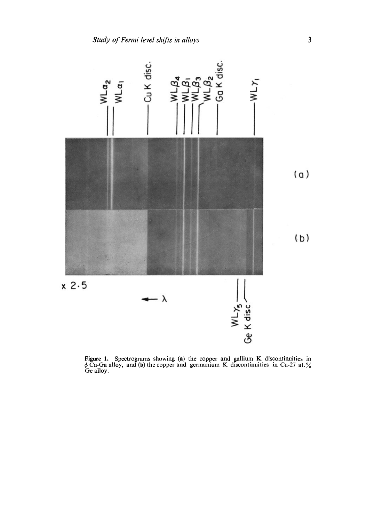

Figure 1. Spectrograms showing (a) the copper and gallium K discontinuities in Cu-Ga alloy, and (b) the copper and germanium K discontinuities in Cu-27 at. Ge alloy.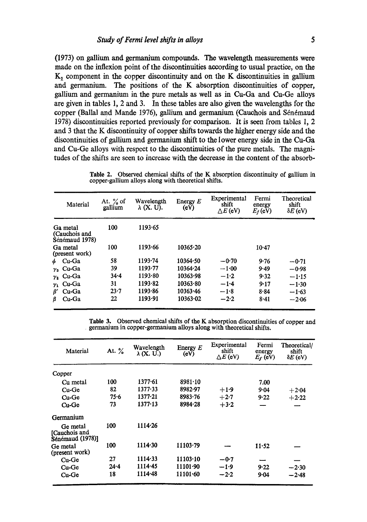(1973) on gallium and germanium compounds. The wavelength measurements were made on the inflexion point of the discontinuities according to usual practice, on the  $K<sub>1</sub>$  component in the copper discontinuity and on the K discontinuities in gallium and germanium. The positions of the K absorption discontinuities of copper, gallium and germanium in the pure metals as well as in Cu-Ga and Cu-Ge alloys are given in tables 1, 2 and 3. In these tables are also given the wavelengths for the copper (Ballal and Mande 1976), gallium and germanium (Cauchois and Sénémaud 1978) discontinuities reported previously for comparison. It is seen from tables 1, 2 and 3 that the K discontinuity of copper shifts towards the higher energy side and the discontinuities of gallium and germanium shift to the lower energy side in the Cu-Ga and Cu-Ge alloys with respect to the discontinuities of the pure metals. The magnitudes of the shifts are seen to increase with the decrease in the content of the absorb-

**Table** 2. Observed chemical shifts of the K absorption discontinuity of gallium in copper-gallium alloys along with theoretical shifts.

| Material                                    | At. $\%$ of<br>gallium | Wavelength<br>$\lambda$ (X, U). | Energy $E$<br>(eV) | Experimental<br>shift<br>$\triangle E$ (eV) | Fermi<br>energy<br>$E_f$ (eV) | Theoretical<br>shift<br>$\delta E$ (eV) |
|---------------------------------------------|------------------------|---------------------------------|--------------------|---------------------------------------------|-------------------------------|-----------------------------------------|
| Ga metal<br>(Cauchois and<br>Sénémaud 1978) | 100                    | 1193.65                         |                    |                                             |                               |                                         |
| Ga metal<br>(present work)                  | 100                    | 1193.66                         | 10365.20           |                                             | $10-47$                       |                                         |
| Cu-Ga<br>Ь                                  | 58                     | 1193.74                         | 10364.50           | $-0.70$                                     | 9.76                          | $-0.71$                                 |
| $\gamma_3$ Cu-Ga                            | 39                     | 1193.77                         | 10364.24           | $-1.00$                                     | 9.49                          | $-0.98$                                 |
| $y_2$ Cu-Ga                                 | $34 - 4$               | 1193.80                         | 10363.98           | $-1.2$                                      | 9.32                          | $-1.15$                                 |
| $y_1$ Cu-Ga                                 | 31                     | 1193.82                         | 10363.80           | $-1.4$                                      | 9.17                          | $-1.30$                                 |
| β'<br>Cu-Ga                                 | 23.7                   | 1193.86                         | 10363.46           | $-1.8$                                      | 8.84                          | $-1.63$                                 |
| β<br>$Cu-Ga$                                | 22                     | 1193.91                         | 10363.02           | $-2.2$                                      | 8.41                          | $-2.06$                                 |

**Table** 3. Observed chemical shifts of the K absorption discontinuities of copper and germanium in copper-germanium alloys along with theoretical shifts.

| Material                                      | At. %    | Wavelength<br>$\lambda$ (X. U.) | Energy $E$<br>(eV) | Experimental<br>shift<br>$\triangle E$ (eV) | Fermi<br>energy<br>$E_{\rm f}$ (eV) | Theoretical/<br>shift<br>$\delta E$ (eV) |
|-----------------------------------------------|----------|---------------------------------|--------------------|---------------------------------------------|-------------------------------------|------------------------------------------|
| Copper                                        |          |                                 |                    |                                             |                                     |                                          |
| Cu metal                                      | 100      | $1377 - 61$                     | $8981 \cdot 10$    |                                             | 7.00                                |                                          |
| Cu-Ge                                         | 82       | 1377.33                         | 8982-97            | $+1.9$                                      | 9.04                                | $+2.04$                                  |
| Cu-Ge                                         | 75.6     | 1377.21                         | 8983.76            | $+2.7$                                      | 9.22                                | $+2.22$                                  |
| $Cu-Ge$                                       | 73       | $1377-13$                       | 8984.28            | $+3.2$                                      |                                     |                                          |
| Germanium                                     |          |                                 |                    |                                             |                                     |                                          |
| Ge metal<br>[Cauchois and<br>Sénémaud (1978)] | 100      | 1114.26                         |                    |                                             |                                     |                                          |
| Ge metal<br>(present work)                    | 100      | 1114.30                         | 11103.79           |                                             | 11.52                               |                                          |
| Cu-Ge                                         | 27       | $1114 - 33$                     | 11103.10           | $-0.7$                                      |                                     |                                          |
| Cu-Ge                                         | $24 - 4$ | $1114 - 45$                     | 11101.90           | $-1.9$                                      | 9.22                                | $-2.30$                                  |
| Cu-Ge                                         | 18       | 1114-48                         | 11101.60           | $-2.2$                                      | 9.04                                | $-2.48$                                  |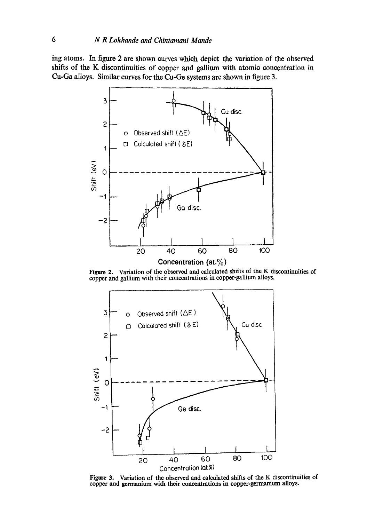**ing atoms. In figure 2 are shown curves which depict the variation of the observed shifts of the K discontinuities of copper and gallium with atomic concentration in Cu-Ga alloys. Similar curves for the Cu-Ge systems are shown in figure 3.** 



Figure 2. Variation of the observed and calculated shifts of the K discontinuities of copper and gallium with their concentrations in copper-gallium alloys.



Figure 3. Variation of the observed and calculated shifts of the K discontinuities of copper and germanium with their concentrations in copper-germanium alloys.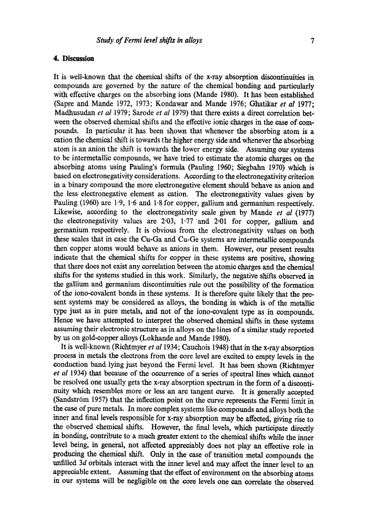#### **4. Discussion**

It is well-known that the chemical shifts of the x-ray absorption discontinuities in compounds are governed by the nature of the chemical bonding and particularly with effective charges on the absorbing ions (Mande 1980). It has been established (Sapre and Mande 1972, 1973; Kondawar and Mande 1976; Ghatikar *et al* 1977; Madhusudan *et al* 1979; Sarode *et al* 1979) that there exists a direct correlation between the observed chemical shifts and the effective ionic charges in the case of compounds. In particular it has been shown that whenever the absorbing atom is a cation the chemical shift is towards the higher energy side and whenever the absorbing atom is an anion the shift is towards the lower energy side. Assuming our systems to be intermetallic compounds, we have tried to estimate the atomic charges on the absorbing atoms using Pauling's formula (Pauling 1960; Siegbahn 1970) which is based on electronegativity considerations. According to the electronegativity criterion in a binary compound the more electronegative element should behave as anion and the less electronegative element as cation. The electronegativity values given by Pauling (1960) are 1-9, 1-6 and 1-8 for copper, gallium and germanium respectively. Likewise, according to the electronegativity scale given by Mande *et al* (1977) the electronegativity values are  $2.03$ ,  $1.77$  and  $2.01$  for copper, gallium and germanium respectively. It is obvious from the electronegativity values on both these scales that in case the Cu-Ga and Cu-Ge systems are intermetallio compounds then copper atoms would behave as anions in them. However, our present results indicate that the chemical shifts for copper in these systems are positive, showing that there does not exist any correlation between the atomic charges and the chemical shifts for the systems studied in this work. Similarly, the negative shifts observed in the gallium and germanium discontinuities rule out the possibility of the formation of the iono-covalent bonds in these systems. It is therefore quite likely that the present systems may be considered as alloys, the bonding in which is of the metallic type just as in pure metals, and not of the iono-covalent type as in compounds. Hence we have attempted to interpret the observed chemical shifts in these systems assuming their electronic structure as in alloys on the lines of a similar study reported by us on gold-copper alloys (Lokhande and Mande 1980).

It is well-known (Richtmyer *et al* 1934; Cauchois 1948) that in the x-ray absorption process in metals the electrons from the core level are excited to empty levels in the conduction band lying just beyond the Fermi level. It has been shown (Richtmyer *et al* 1934) that because of the occurrence of a series of spectral lines which cannot be resolved one usually gets the x-ray absorption spectrum in the form of a discontinuity which resembles more or less an are tangent curve. It is generally accepted (Sandström 1957) that the inflection point on the curve represents the Fermi limit in the case of pure metals. In more complex systems like compounds and alloys both the inner and final levels responsible for x-ray absorption may be affected, giving rise to the observed chemical shifts. However, the final levels, which participate directly in bonding, contribute to a much greater extent to the chemical shifts while the inner level being, in general, not affected appreciably does not play an effective role in producing the chemical shift. Only in the case of transition metal compounds the unfilled 3d orbitals interact with the inner level and may affect the inner level to an appreciable extent. Assuming that the effect of environment on the absorbing atoms in our systems will be negligible on the core levels one can correlate the observed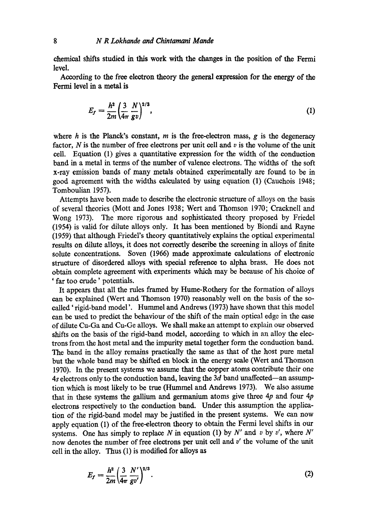chemical shifts studied in this work with the changes in the position of the Fermi level.

According to the free electron theory the general expression for the energy of the Fermi level in a metal **is** 

$$
E_f = \frac{h^2}{2m} \left(\frac{3}{4\pi} \frac{N}{g v}\right)^{2/3},\tag{1}
$$

where  $h$  is the Planck's constant,  $m$  is the free-electron mass,  $g$  is the degeneracy factor,  $N$  is the number of free electrons per unit cell and  $v$  is the volume of the unit cell. Equation (1) gives a quantitative expression for the width of the conduction band in a metal in terms of the number of valence electrons. The widths of the soft x-ray emission bands of many metals obtained experimentally are found to be in good agreement with the widths calculated by using equation (1) (Cauchois 1948; Tomboulian 1957).

Attempts have been made to describe the electronic structure of alloys on the basis of several theories (Mott and Jones 1938; Wert and Thomson 1970; Cracknell and Wong 1973). The more rigorous and sophisticated theory proposed by Friedel (1954) is valid for dilute alloys only. It has been mentioned by Biondi and Rayne (1959) that although Friedel's theory quantitatively explains the optical experimental results on dilute alloys, it does not correctly describe the screening in alloys of finite solute concentrations. Soven (1966) made approximate calculations of electronic structure of disordered alloys with special reference to alpha brass. He does not obtain complete agreement with experiments which may be because of his choice of ' far too crude' potentials.

It appears that all the rules framed by Hume-Rothery for the formation of alloys can be explained (Weft and Thomson 1970) reasonably well on the basis of the socalled 'rigid-band model'. Hummel and Andrews (1973) have shown that this model can be used to predict the behaviour of the shift of the main optical edge in the ease of dilute Cu-Ga and Cu-Ge alloys. We shall make an attempt to explain our observed shifts on the basis of the rigid-band model, according to which in an alloy the electrons from the host metal and the impurity metal together form the conduction band. The band in the alloy remains practically the same as that of the host pure metal but the whole band may be shifted en block in the energy scale (Wert and Thomson 1970). In the present systems we assume that the copper atoms contribute their one  $4s$  electrons only to the conduction band, leaving the  $3d$  band unaffected--an assumption which is most likely to be true (Hummel and Andrews 1973). We also assume that in these systems the gallium and germanium atoms give three  $4p$  and four  $4p$ electrons respectively to the conduction band. Under this assumption the application of the rigid-band model may be justified in the present systems. We can now apply equation (1) of the free-electron theory to obtain the Fermi level shifts in our systems. One has simply to replace N in equation (1) by N' and v by v', where  $N'$ now denotes the number of free electrons per unit cell and v' the volume of the unit cell in the alloy. Thus (1) is modified for alloys as

$$
E_f = \frac{h^2}{2m} \left(\frac{3}{4\pi} \frac{N'}{gv'}\right)^{2/3}.
$$
 (2)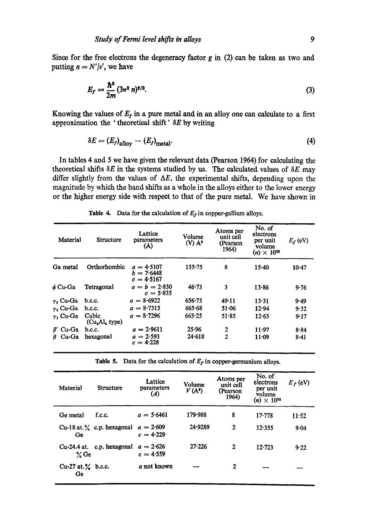Since for the free electrons the degeneracy factor  $g$  in  $(2)$  can be taken as two and putting  $n = N'/v'$ , we have

$$
E_f = \frac{\hbar^2}{2m} (3\pi^2 n)^{2/3}.
$$
 (3)

Knowing the values of  $E_f$  in a pure metal and in an alloy one can calculate to a first approximation the 'theoretical shift'  $\delta E$  by writing

$$
\delta E = (E_f)_{\text{allow}} - (E_f)_{\text{metal}}.\tag{4}
$$

**In tables 4 and 5 we have given the relevant data (Pearson 1964) for calculating the**  theoretical shifts  $\delta E$  in the systems studied by us. The calculated values of  $\delta E$  may differ slightly from the values of  $\Delta E$ , the experimental shifts, depending upon the magnitude by which the band shifts as a whole in the alloys either to the lower energy or the higher energy side with respect to that of the pure metal. We have shown in

| Material         | <b>Structure</b>         | Lattice<br>parameters<br>(A)                 | Volume<br>$(V)$ $A^3$ | Atoms per<br>unit cell<br>(Pearson)<br>1964) | No. of<br>electrons<br>per unit<br>volume<br>$(n) \times 10^{22}$ | $E_f$ (eV) |
|------------------|--------------------------|----------------------------------------------|-----------------------|----------------------------------------------|-------------------------------------------------------------------|------------|
| Ga metal         | Orthorhombic             | $a = 4.5107$<br>$b = 7.6448$<br>$c = 4.5167$ | $155 - 75$            | 8                                            | 15.40                                                             | 10.47      |
| ∲ Cu-Ga          | Tetragonal               | $a = b = 2.830$<br>$c = 5.835$               | 46.73                 | 3                                            | 13.86                                                             | 9.76       |
| y, Cu-Ga         | b.c.c.                   | $a = 8.6922$                                 | $656 - 73$            | 49.11                                        | $13 - 31$                                                         | 9.49       |
| $\gamma_2$ Cu-Ga | $b$ , c.c.               | $a = 8.7315$                                 | 665.68                | 51.06                                        | 12.94                                                             | 9.32       |
| $\gamma$ , Cu-Ga | Cubic<br>$(CuaAla$ type) | $a = 8.7296$                                 | 665.25                | 51.85                                        | 12.63                                                             | 9.17       |
| $\beta'$ Cu-Ga   | b.c.c.                   | $a = 2.9611$                                 | 25.96                 | 2                                            | $11 - 97$                                                         | $8 - 84$   |
| $\beta$ Cu-Ga    | hexagonal                | $a = 2.593$<br>$c = 4.228$                   | 24.618                | $\overline{2}$                               | $11 - 09$                                                         | 8.41       |

Table 4. Data for the calculation of  $E_f$  in copper-gallium alloys.

Table 5. Data for the calculation of  $E_f$  in copper-germanium alloys.

| Material                    | <b>Structure</b>                       | Lattice<br>parameters<br>(A) | Volume<br>$V(A^s)$ | Atoms per<br>unit cell<br>(Pearson<br>1964) | No. of<br>electrons<br>per unit<br>volume<br>$(n) \times 10^{22}$ | $E_f$ (eV) |
|-----------------------------|----------------------------------------|------------------------------|--------------------|---------------------------------------------|-------------------------------------------------------------------|------------|
| Ge metal                    | f.c.c.                                 | $a = 5.6461$                 | 179.988            | 8                                           | $17 - 778$                                                        | $11 - 52$  |
| Ge                          | Cu-18 at. $\frac{9}{6}$ c.p. hexagonal | $a = 2.609$<br>$c = 4.229$   | 24.9289            | $\mathbf{2}$                                | 12.355                                                            | 9.04       |
| Cu-24.4 at.<br>$\%$ Ge      | c.p. hexagonal                         | $a = 2.626$<br>$c = 4.559$   | 27.226             | $\mathbf{2}$                                | 12.723                                                            | 9.22       |
| Cu-27 at. $\%$ b.c.c.<br>Ge |                                        | a not known                  |                    | 2                                           |                                                                   |            |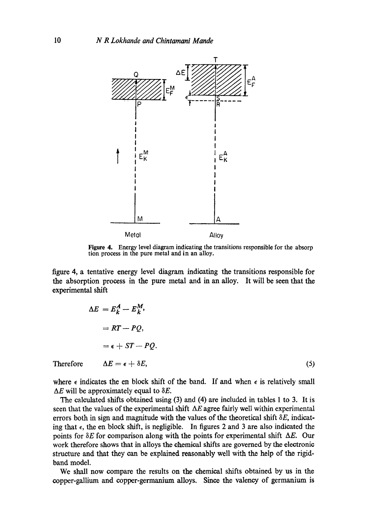

**Figure** 4. Energy level diagram indicating the transitions responsible for the absorp tion process in the pure metal and in an alloy.

figure 4, a tentative energy level diagram indicating the transitions responsible for the absorption process in the pure metal and in an alloy. It will be seen that the experimental shift

$$
\Delta E = E_k^A - E_k^M,
$$
  
=  $RT - PQ$ ,  
=  $\epsilon + ST - PQ$ .  
Therefore  $\Delta E = \epsilon + \delta E$ , (5)

where  $\epsilon$  indicates the en block shift of the band. If and when  $\epsilon$  is relatively small  $\Delta E$  will be approximately equal to  $\delta E$ .

The calculated shifts obtained using (3) and (4) are included in tables 1 to 3. It is seen that the values of the experimental shift  $\Delta E$  agree fairly well within experimental errors both in sign and magnitude with the values of the theoretical shift  $\delta E$ , indicating that  $\epsilon$ , the en block shift, is negligible. In figures 2 and 3 are also indicated the points for  $\delta E$  for comparison along with the points for experimental shift  $\Delta E$ . Our work therefore shows that in alloys the chemical shifts are governed by the electronic structure and that they can be explained reasonably well with the help of the rigidband model.

We shall now compare the results on the chemical shifts obtained by us in the copper-gallium and copper-germanium alloys. Since the valency of germanium is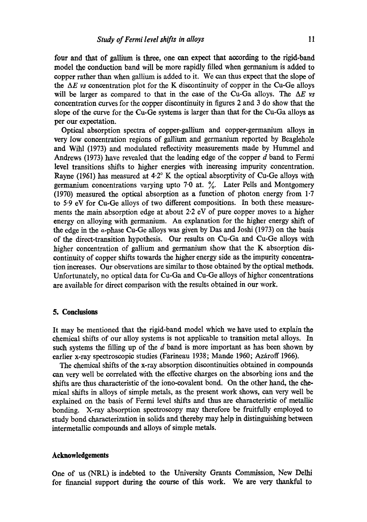four and that of gallium is three, one can expect that according to the rigid-band model the conduction band will be more rapidly filled when germanium is added to copper rather than when gallium is added to it. We can thus expect that the slope of the  $\Delta E$  *vs* concentration plot for the K discontinuity of copper in the Cu-Ge alloys will be larger as compared to that in the case of the Cu-Ga alloys. The  $\Delta E$  *vs* concentration curves for the copper discontinuity in figures 2 and 3 do show that the slope of the curve for the Cu-Ge systems is larger than that for the Cu-Ga alloys as per our expectation.

Optical absorption spectra of copper-gallium and copper-germanium alloys in very low concentration regions of gallium and germanium reported by Beaglehole and Wihl (1973) and modulated reflectivity measurements made by Hummel and Andrews (1973) have revealed that the leading edge of the copper d band to Fermi level transitions shifts to higher energies with increasing impurity concentration. Rayne (1961) has measured at  $4.2^\circ$  K the optical absorptivity of Cu-Ge alloys with germanium concentrations varying upto 7.0 at. %. Later Pells and Montgomery (1970) measured the optical absorption as a function of photon energy from  $1.7$ to 5.9 eV for Cu-Ge alloys of two different compositions. In both these measurements the main absorption edge at about 2-2 eV of pure copper moves to a higher energy on alloying with germanium. An explanation for the higher energy shift of the edge in the e-phase Cu-Ge alloys was given by Das and Joshi (1973) on the basis of the direct-transition hypothesis. Our results on Cu-Ga and Cu-Ge alloys with higher concentration of gallium and germanium show that the K absorption discontinuity of copper shifts towards the higher energy side as the impurity concentration increases. Our observations are similar to those obtained by the optical methods. Unfortunately, no optical data for Cu-Ga and Cu-Ge alloys of higher concentrations are available for direct comparison with the results obtained in our work.

#### **5. Conclusions**

It may be mentioned that the rigid-band model which we have used to explain the chemical shifts of our alloy systems is not applicable to transition metal alloys. In such systems the filling up of the  $d$  band is more important as has been shown by earlier x-ray spectroscopic studies (Farineau 1938; Mande 1960; Azároff 1966).

The chemical shifts of the x-ray absorption discontinuities obtained in compounds can very well be correlated with the effective charges on the absorbing ions and the shifts are thus characteristic of the iono-covalent bond. On the other hand, the chemical shifts in alloys of simple metals, as the present work shows, can very well be explained on the basis of Fermi level shifts and thus are characteristic of metallic bonding. X-ray absorption spectroscopy may therefore be fruitfully employed to study bond characterization in solids and thereby may help in distinguishing between intermetallic compounds and alloys of simple metals.

## **Acknowledgements**

One of us (NRL) is indebted to the University Grants Commission, New Delhi for financial support during the course of this work. We are very thankful to